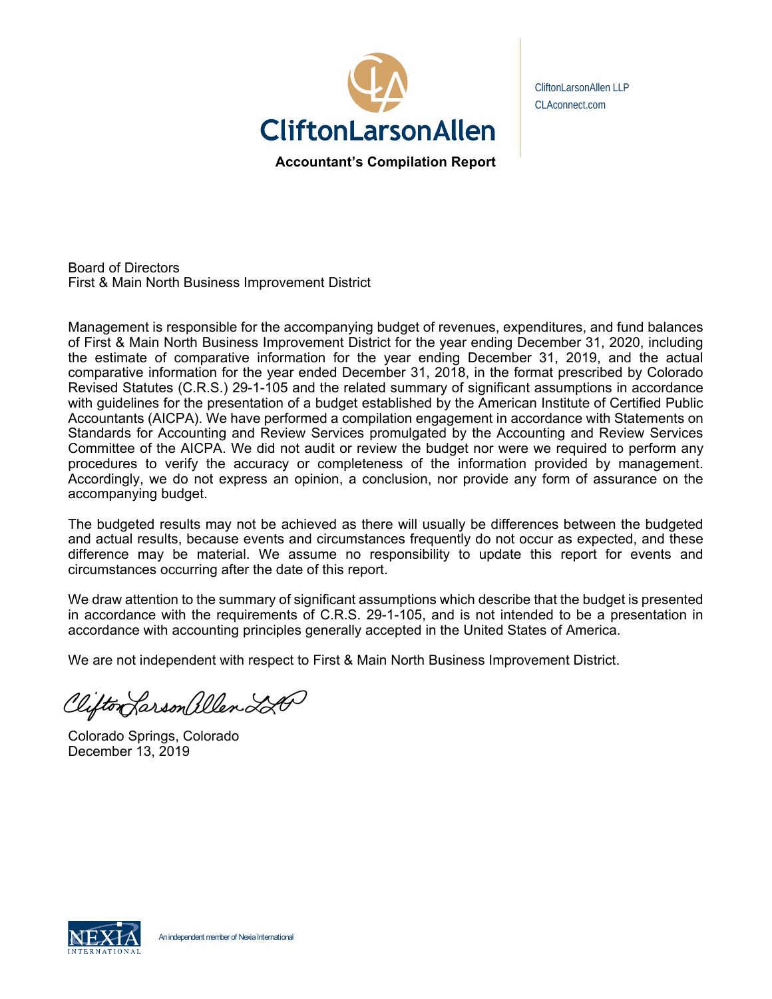

CliftonLarsonAllen LLP CLAconnect.com

Board of Directors First & Main North Business Improvement District

Management is responsible for the accompanying budget of revenues, expenditures, and fund balances of First & Main North Business Improvement District for the year ending December 31, 2020, including the estimate of comparative information for the year ending December 31, 2019, and the actual comparative information for the year ended December 31, 2018, in the format prescribed by Colorado Revised Statutes (C.R.S.) 29-1-105 and the related summary of significant assumptions in accordance with guidelines for the presentation of a budget established by the American Institute of Certified Public Accountants (AICPA). We have performed a compilation engagement in accordance with Statements on Standards for Accounting and Review Services promulgated by the Accounting and Review Services Committee of the AICPA. We did not audit or review the budget nor were we required to perform any procedures to verify the accuracy or completeness of the information provided by management. Accordingly, we do not express an opinion, a conclusion, nor provide any form of assurance on the accompanying budget.

The budgeted results may not be achieved as there will usually be differences between the budgeted and actual results, because events and circumstances frequently do not occur as expected, and these difference may be material. We assume no responsibility to update this report for events and circumstances occurring after the date of this report.

We draw attention to the summary of significant assumptions which describe that the budget is presented in accordance with the requirements of C.R.S. 29-1-105, and is not intended to be a presentation in accordance with accounting principles generally accepted in the United States of America.

We are not independent with respect to First & Main North Business Improvement District.

Clifton Larson allen LA

Colorado Springs, Colorado December 13, 2019

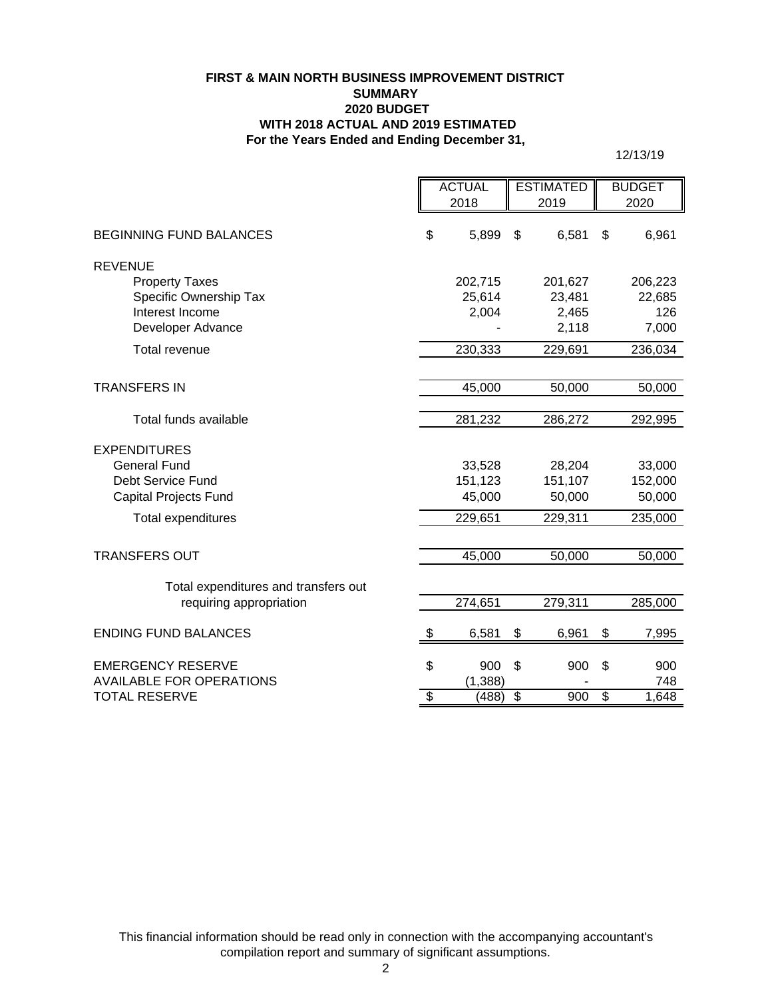## **FIRST & MAIN NORTH BUSINESS IMPROVEMENT DISTRICT SUMMARY 2020 BUDGET WITH 2018 ACTUAL AND 2019 ESTIMATED For the Years Ended and Ending December 31,**

12/13/19

|                                      | <b>ACTUAL</b> |          | <b>ESTIMATED</b> |         | <b>BUDGET</b> |         |
|--------------------------------------|---------------|----------|------------------|---------|---------------|---------|
|                                      | 2018          |          | 2019             |         |               | 2020    |
| <b>BEGINNING FUND BALANCES</b>       | \$            | 5,899    | \$               | 6,581   | \$            | 6,961   |
| <b>REVENUE</b>                       |               |          |                  |         |               |         |
| <b>Property Taxes</b>                |               | 202,715  |                  | 201,627 |               | 206,223 |
| Specific Ownership Tax               |               | 25,614   |                  | 23,481  |               | 22,685  |
| Interest Income                      |               | 2,004    |                  | 2,465   |               | 126     |
| Developer Advance                    |               |          |                  | 2,118   |               | 7,000   |
| Total revenue                        |               | 230,333  |                  | 229,691 |               | 236,034 |
|                                      |               |          |                  |         |               |         |
| <b>TRANSFERS IN</b>                  |               | 45,000   |                  | 50,000  |               | 50,000  |
|                                      |               |          |                  |         |               |         |
| Total funds available                |               | 281,232  |                  | 286,272 |               | 292,995 |
| <b>EXPENDITURES</b>                  |               |          |                  |         |               |         |
| <b>General Fund</b>                  |               | 33,528   |                  | 28,204  |               | 33,000  |
| Debt Service Fund                    |               | 151,123  |                  | 151,107 |               | 152,000 |
| Capital Projects Fund                |               | 45,000   |                  | 50,000  |               | 50,000  |
| <b>Total expenditures</b>            |               | 229,651  |                  | 229,311 |               | 235,000 |
|                                      |               |          |                  |         |               |         |
| <b>TRANSFERS OUT</b>                 |               | 45,000   |                  | 50,000  |               | 50,000  |
|                                      |               |          |                  |         |               |         |
| Total expenditures and transfers out |               |          |                  |         |               |         |
| requiring appropriation              |               | 274,651  |                  | 279,311 |               | 285,000 |
| <b>ENDING FUND BALANCES</b>          | \$            | 6,581    | \$               | 6,961   | \$            | 7,995   |
| <b>EMERGENCY RESERVE</b>             | \$            | 900      | \$               | 900     | \$            | 900     |
| <b>AVAILABLE FOR OPERATIONS</b>      |               | (1, 388) |                  |         |               | 748     |
| <b>TOTAL RESERVE</b>                 | \$            | (488)    | \$               | 900     | \$            | 1,648   |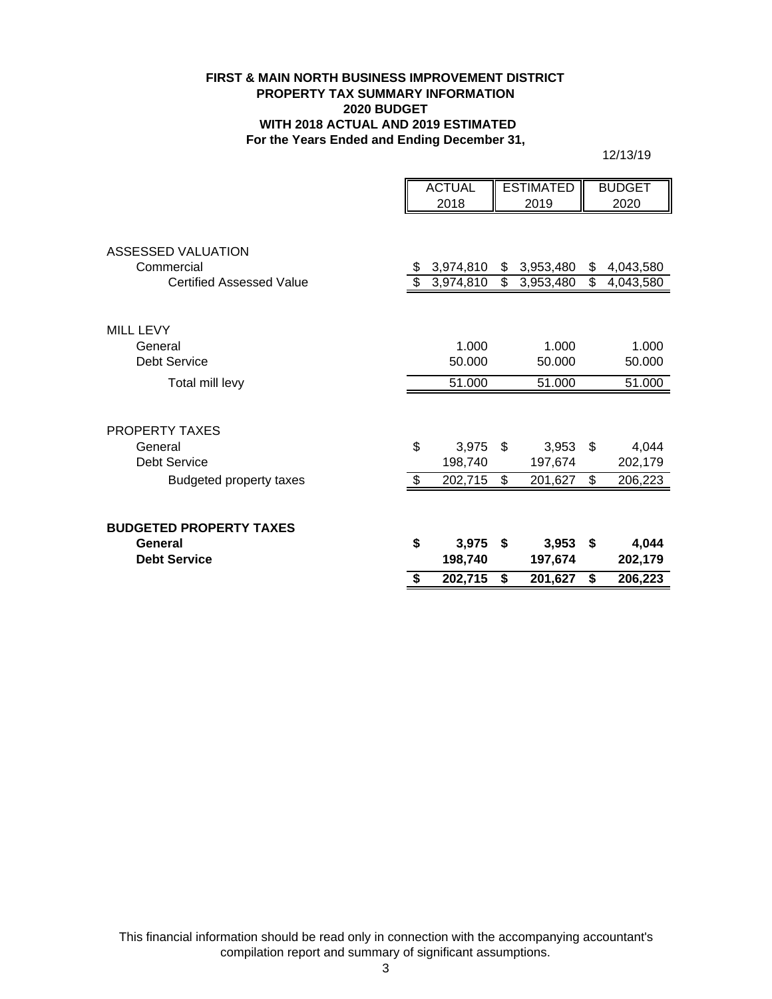#### **FIRST & MAIN NORTH BUSINESS IMPROVEMENT DISTRICT PROPERTY TAX SUMMARY INFORMATION 2020 BUDGET WITH 2018 ACTUAL AND 2019 ESTIMATED For the Years Ended and Ending December 31,**

12/13/19

|                                 | <b>ACTUAL</b> |           | <b>ESTIMATED</b> |             |    | <b>BUDGET</b> |
|---------------------------------|---------------|-----------|------------------|-------------|----|---------------|
|                                 |               | 2018      |                  | 2019        |    | 2020          |
|                                 |               |           |                  |             |    |               |
| <b>ASSESSED VALUATION</b>       |               |           |                  |             |    |               |
| Commercial                      |               | 3,974,810 |                  | \$3,953,480 | \$ | 4,043,580     |
| <b>Certified Assessed Value</b> | \$            | 3,974,810 | \$               | 3,953,480   | \$ | 4,043,580     |
|                                 |               |           |                  |             |    |               |
| <b>MILL LEVY</b>                |               |           |                  |             |    |               |
| General                         |               | 1.000     |                  | 1.000       |    | 1.000         |
| <b>Debt Service</b>             |               | 50.000    |                  | 50.000      |    | 50.000        |
| Total mill levy                 |               | 51.000    |                  | 51.000      |    | 51.000        |
|                                 |               |           |                  |             |    |               |
| <b>PROPERTY TAXES</b>           |               |           |                  |             |    |               |
| General                         | \$            | 3,975     | \$               | 3,953       | \$ | 4,044         |
| Debt Service                    |               | 198,740   |                  | 197,674     |    | 202,179       |
| Budgeted property taxes         |               | 202,715   | \$               | 201,627     | \$ | 206,223       |
|                                 |               |           |                  |             |    |               |
| <b>BUDGETED PROPERTY TAXES</b>  |               |           |                  |             |    |               |
| General                         | \$            | 3,975     | S.               | 3,953       | S. | 4,044         |
| <b>Debt Service</b>             |               | 198,740   |                  | 197,674     |    | 202,179       |
|                                 | S             | 202,715   | \$               | 201,627     | \$ | 206,223       |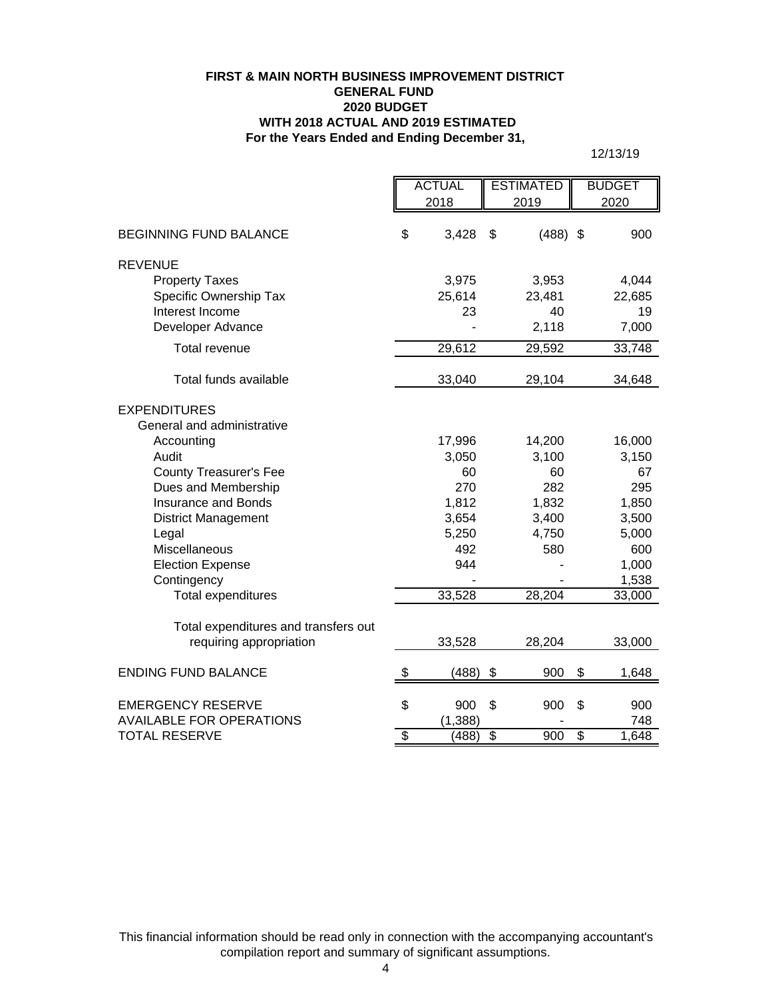#### **For the Years Ended and Ending December 31, FIRST & MAIN NORTH BUSINESS IMPROVEMENT DISTRICT GENERAL FUND 2020 BUDGET WITH 2018 ACTUAL AND 2019 ESTIMATED**

12/13/19

|                                                                                         | <b>ACTUAL</b>           |                       | <b>ESTIMATED</b> |                                | <b>BUDGET</b> |                                |
|-----------------------------------------------------------------------------------------|-------------------------|-----------------------|------------------|--------------------------------|---------------|--------------------------------|
|                                                                                         | 2018<br>2019            |                       | 2020             |                                |               |                                |
| <b>BEGINNING FUND BALANCE</b>                                                           | \$                      | 3,428                 | \$               | $(488)$ \$                     |               | 900                            |
| <b>REVENUE</b>                                                                          |                         |                       |                  |                                |               |                                |
| <b>Property Taxes</b><br>Specific Ownership Tax<br>Interest Income<br>Developer Advance |                         | 3,975<br>25,614<br>23 |                  | 3,953<br>23,481<br>40<br>2,118 |               | 4,044<br>22,685<br>19<br>7,000 |
| Total revenue                                                                           |                         | 29,612                |                  | 29,592                         |               | 33,748                         |
| Total funds available                                                                   |                         | 33,040                |                  | 29,104                         |               | 34,648                         |
| <b>EXPENDITURES</b><br>General and administrative<br>Accounting                         |                         | 17,996                |                  | 14,200                         |               | 16,000                         |
| Audit                                                                                   |                         | 3,050                 |                  | 3,100                          |               | 3,150                          |
| <b>County Treasurer's Fee</b><br>Dues and Membership<br>Insurance and Bonds             |                         | 60<br>270<br>1,812    |                  | 60<br>282<br>1,832             |               | 67<br>295<br>1,850             |
| <b>District Management</b><br>Legal                                                     |                         | 3,654<br>5,250        |                  | 3,400<br>4,750                 |               | 3,500<br>5,000                 |
| Miscellaneous                                                                           |                         | 492                   |                  | 580                            |               | 600                            |
| <b>Election Expense</b><br>Contingency                                                  |                         | 944                   |                  |                                |               | 1,000<br>1,538                 |
| <b>Total expenditures</b>                                                               |                         | 33,528                |                  | 28,204                         |               | 33,000                         |
| Total expenditures and transfers out                                                    |                         |                       |                  |                                |               |                                |
| requiring appropriation                                                                 |                         | 33,528                |                  | 28,204                         |               | 33,000                         |
| <b>ENDING FUND BALANCE</b>                                                              | \$                      | (488)                 | \$               | 900                            | \$            | 1,648                          |
| <b>EMERGENCY RESERVE</b><br><b>AVAILABLE FOR OPERATIONS</b>                             | \$                      | 900<br>(1, 388)       | \$               | 900                            | \$            | 900<br>748                     |
| <b>TOTAL RESERVE</b>                                                                    | $\overline{\mathbf{e}}$ | (488)                 | \$               | 900                            | \$            | 1,648                          |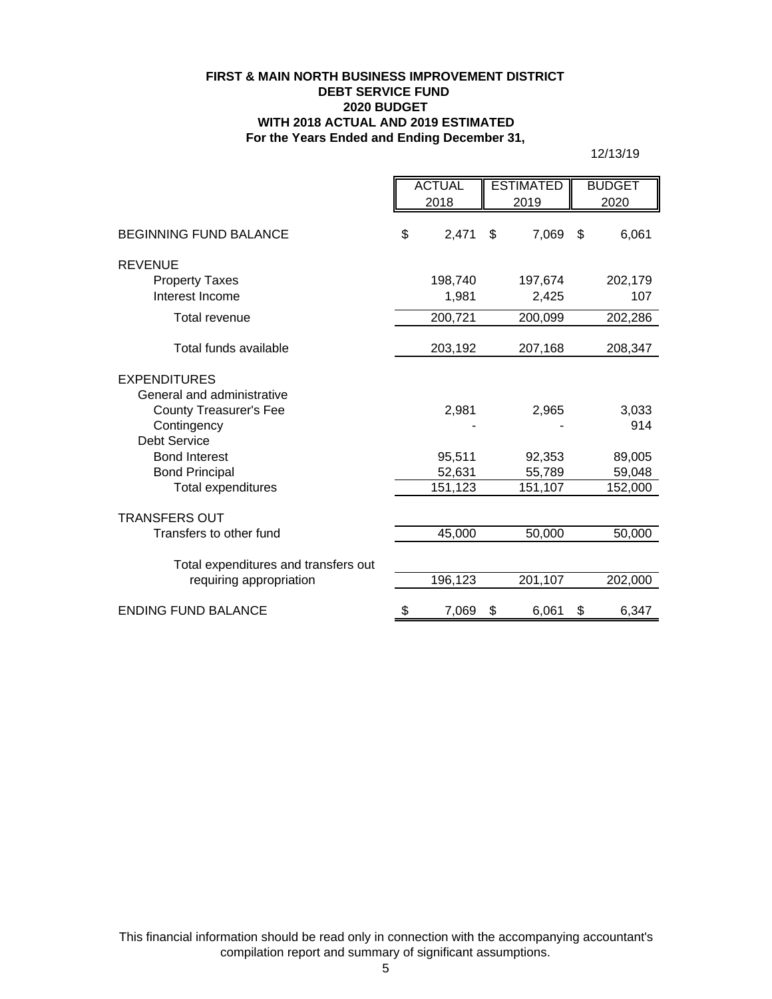## **FIRST & MAIN NORTH BUSINESS IMPROVEMENT DISTRICT DEBT SERVICE FUND 2020 BUDGET WITH 2018 ACTUAL AND 2019 ESTIMATED For the Years Ended and Ending December 31,**

12/13/19

|                                      | <b>ACTUAL</b> |         | <b>ESTIMATED</b> |         | <b>BUDGET</b> |         |
|--------------------------------------|---------------|---------|------------------|---------|---------------|---------|
|                                      | 2018          |         | 2019             |         |               | 2020    |
| <b>BEGINNING FUND BALANCE</b>        | \$            | 2,471   | \$               | 7,069   | \$            | 6,061   |
| <b>REVENUE</b>                       |               |         |                  |         |               |         |
| <b>Property Taxes</b>                |               | 198,740 |                  | 197,674 |               | 202,179 |
| Interest Income                      |               | 1,981   |                  | 2,425   |               | 107     |
| Total revenue                        |               | 200,721 |                  | 200,099 |               | 202,286 |
| Total funds available                |               | 203,192 |                  | 207,168 |               | 208,347 |
| EXPENDITURES                         |               |         |                  |         |               |         |
| General and administrative           |               |         |                  |         |               |         |
| <b>County Treasurer's Fee</b>        |               | 2,981   |                  | 2,965   |               | 3,033   |
| Contingency                          |               |         |                  |         |               | 914     |
| <b>Debt Service</b>                  |               |         |                  |         |               |         |
| <b>Bond Interest</b>                 |               | 95,511  |                  | 92,353  |               | 89,005  |
| <b>Bond Principal</b>                |               | 52,631  |                  | 55,789  |               | 59,048  |
| Total expenditures                   |               | 151,123 |                  | 151,107 |               | 152,000 |
| <b>TRANSFERS OUT</b>                 |               |         |                  |         |               |         |
| Transfers to other fund              |               | 45,000  |                  | 50,000  |               | 50,000  |
|                                      |               |         |                  |         |               |         |
| Total expenditures and transfers out |               |         |                  |         |               |         |
| requiring appropriation              |               | 196,123 |                  | 201,107 |               | 202,000 |
| <b>ENDING FUND BALANCE</b>           | \$            | 7,069   | \$               | 6,061   | \$            | 6,347   |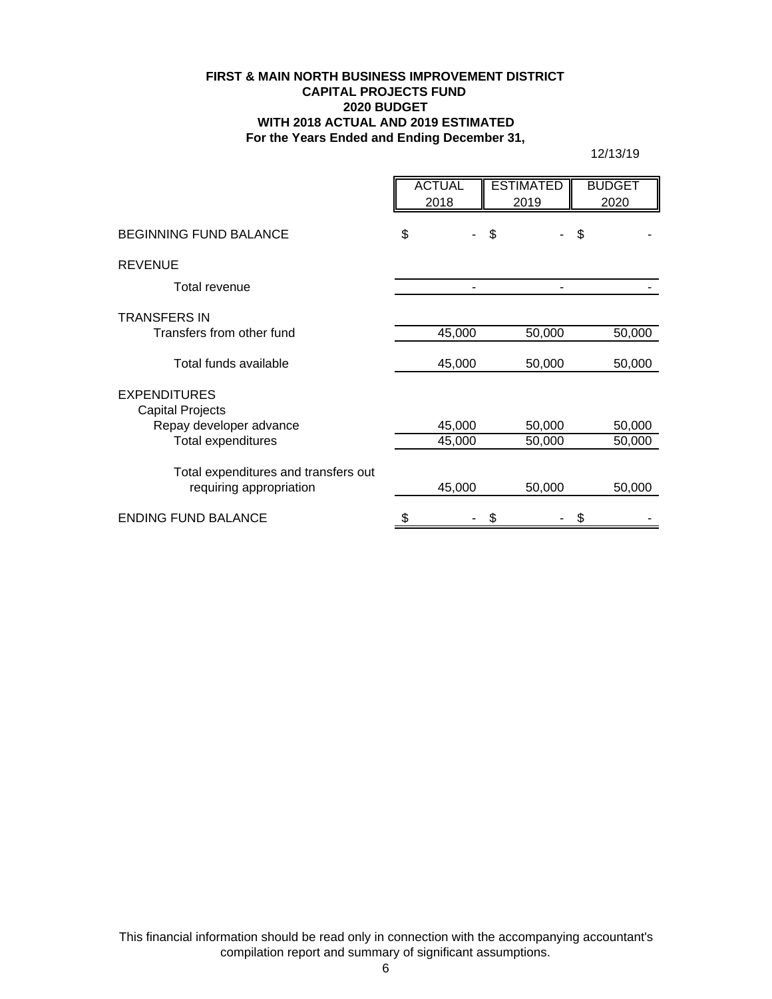## **FIRST & MAIN NORTH BUSINESS IMPROVEMENT DISTRICT CAPITAL PROJECTS FUND 2020 BUDGET WITH 2018 ACTUAL AND 2019 ESTIMATED For the Years Ended and Ending December 31,**

12/13/19

|                                                                 | <b>ACTUAL</b><br>2018 | <b>ESTIMATED</b><br>2019 |        | <b>BUDGET</b><br>2020 |
|-----------------------------------------------------------------|-----------------------|--------------------------|--------|-----------------------|
| <b>BEGINNING FUND BALANCE</b>                                   | \$                    | \$                       |        | \$                    |
| <b>REVENUE</b>                                                  |                       |                          |        |                       |
| Total revenue                                                   |                       |                          |        |                       |
| <b>TRANSFERS IN</b>                                             |                       |                          |        |                       |
| Transfers from other fund                                       | 45,000                |                          | 50,000 | 50,000                |
| Total funds available                                           | 45,000                |                          | 50,000 | 50,000                |
| <b>EXPENDITURES</b><br><b>Capital Projects</b>                  |                       |                          |        |                       |
| Repay developer advance                                         | 45,000                |                          | 50,000 | 50,000                |
| <b>Total expenditures</b>                                       | 45,000                |                          | 50,000 | 50,000                |
| Total expenditures and transfers out<br>requiring appropriation | 45,000                |                          | 50,000 | 50,000                |
| <b>ENDING FUND BALANCE</b>                                      |                       |                          |        |                       |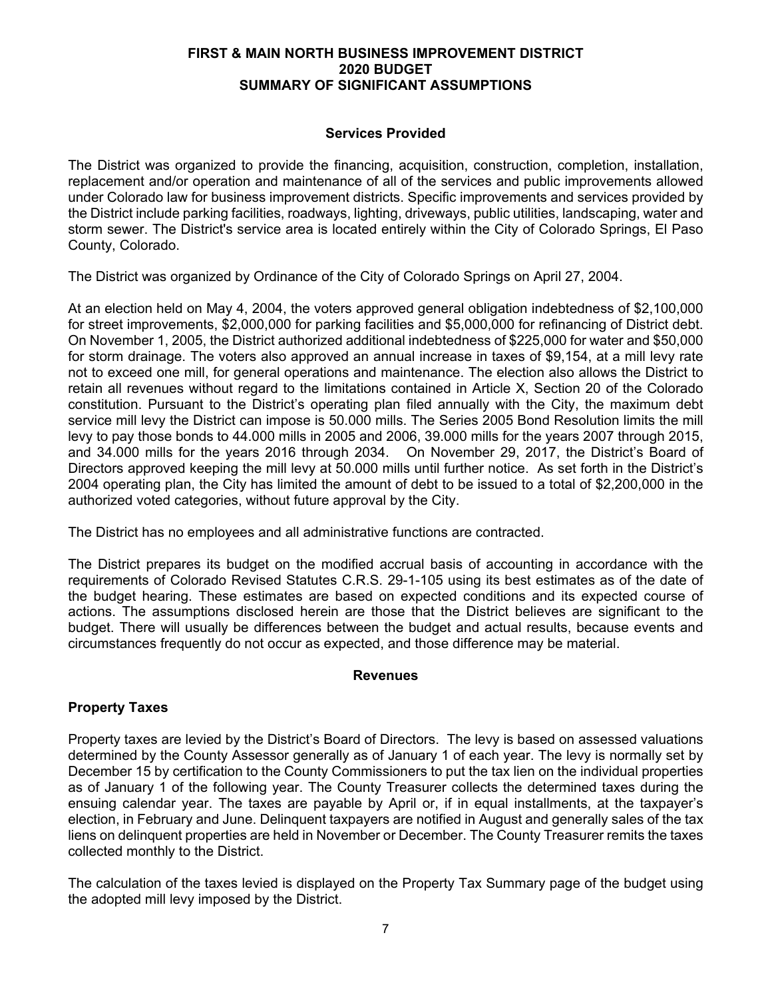## **FIRST & MAIN NORTH BUSINESS IMPROVEMENT DISTRICT 2020 BUDGET SUMMARY OF SIGNIFICANT ASSUMPTIONS**

## **Services Provided**

The District was organized to provide the financing, acquisition, construction, completion, installation, replacement and/or operation and maintenance of all of the services and public improvements allowed under Colorado law for business improvement districts. Specific improvements and services provided by the District include parking facilities, roadways, lighting, driveways, public utilities, landscaping, water and storm sewer. The District's service area is located entirely within the City of Colorado Springs, El Paso County, Colorado.

The District was organized by Ordinance of the City of Colorado Springs on April 27, 2004.

At an election held on May 4, 2004, the voters approved general obligation indebtedness of \$2,100,000 for street improvements, \$2,000,000 for parking facilities and \$5,000,000 for refinancing of District debt. On November 1, 2005, the District authorized additional indebtedness of \$225,000 for water and \$50,000 for storm drainage. The voters also approved an annual increase in taxes of \$9,154, at a mill levy rate not to exceed one mill, for general operations and maintenance. The election also allows the District to retain all revenues without regard to the limitations contained in Article X, Section 20 of the Colorado constitution. Pursuant to the District's operating plan filed annually with the City, the maximum debt service mill levy the District can impose is 50.000 mills. The Series 2005 Bond Resolution limits the mill levy to pay those bonds to 44.000 mills in 2005 and 2006, 39.000 mills for the years 2007 through 2015, and 34.000 mills for the years 2016 through 2034. On November 29, 2017, the District's Board of Directors approved keeping the mill levy at 50.000 mills until further notice. As set forth in the District's 2004 operating plan, the City has limited the amount of debt to be issued to a total of \$2,200,000 in the authorized voted categories, without future approval by the City.

The District has no employees and all administrative functions are contracted.

The District prepares its budget on the modified accrual basis of accounting in accordance with the requirements of Colorado Revised Statutes C.R.S. 29-1-105 using its best estimates as of the date of the budget hearing. These estimates are based on expected conditions and its expected course of actions. The assumptions disclosed herein are those that the District believes are significant to the budget. There will usually be differences between the budget and actual results, because events and circumstances frequently do not occur as expected, and those difference may be material.

## **Revenues**

# **Property Taxes**

Property taxes are levied by the District's Board of Directors. The levy is based on assessed valuations determined by the County Assessor generally as of January 1 of each year. The levy is normally set by December 15 by certification to the County Commissioners to put the tax lien on the individual properties as of January 1 of the following year. The County Treasurer collects the determined taxes during the ensuing calendar year. The taxes are payable by April or, if in equal installments, at the taxpayer's election, in February and June. Delinquent taxpayers are notified in August and generally sales of the tax liens on delinquent properties are held in November or December. The County Treasurer remits the taxes collected monthly to the District.

The calculation of the taxes levied is displayed on the Property Tax Summary page of the budget using the adopted mill levy imposed by the District.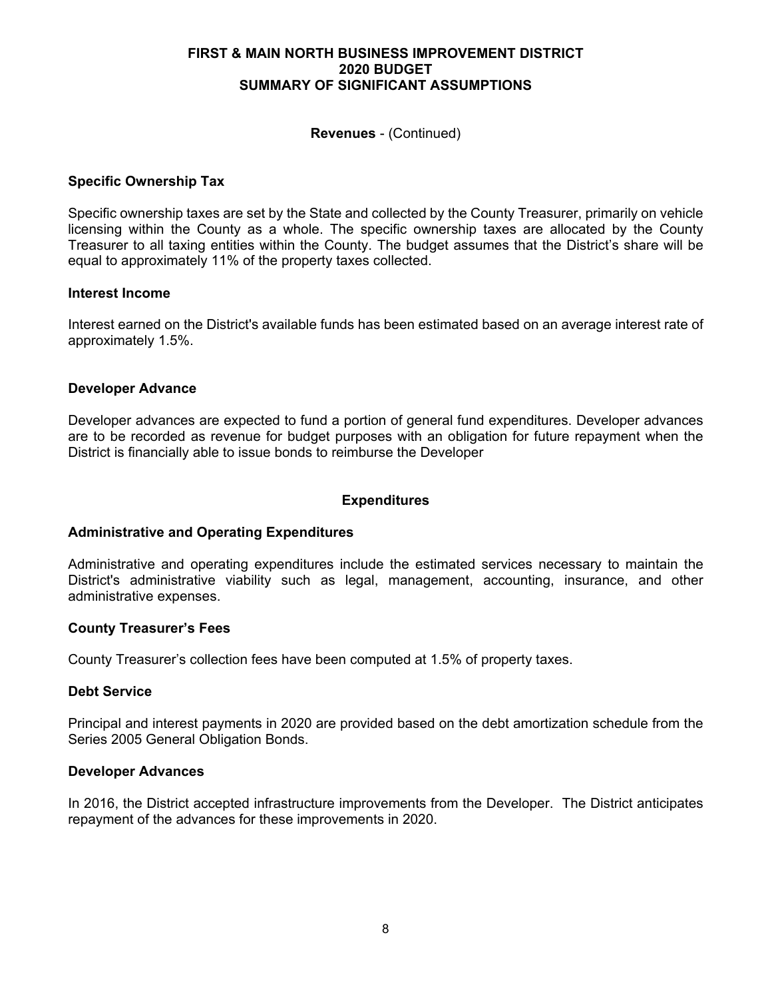## **FIRST & MAIN NORTH BUSINESS IMPROVEMENT DISTRICT 2020 BUDGET SUMMARY OF SIGNIFICANT ASSUMPTIONS**

## **Revenues** - (Continued)

## **Specific Ownership Tax**

Specific ownership taxes are set by the State and collected by the County Treasurer, primarily on vehicle licensing within the County as a whole. The specific ownership taxes are allocated by the County Treasurer to all taxing entities within the County. The budget assumes that the District's share will be equal to approximately 11% of the property taxes collected.

#### **Interest Income**

Interest earned on the District's available funds has been estimated based on an average interest rate of approximately 1.5%.

## **Developer Advance**

Developer advances are expected to fund a portion of general fund expenditures. Developer advances are to be recorded as revenue for budget purposes with an obligation for future repayment when the District is financially able to issue bonds to reimburse the Developer

## **Expenditures**

## **Administrative and Operating Expenditures**

Administrative and operating expenditures include the estimated services necessary to maintain the District's administrative viability such as legal, management, accounting, insurance, and other administrative expenses.

## **County Treasurer's Fees**

County Treasurer's collection fees have been computed at 1.5% of property taxes.

## **Debt Service**

Principal and interest payments in 2020 are provided based on the debt amortization schedule from the Series 2005 General Obligation Bonds.

## **Developer Advances**

In 2016, the District accepted infrastructure improvements from the Developer. The District anticipates repayment of the advances for these improvements in 2020.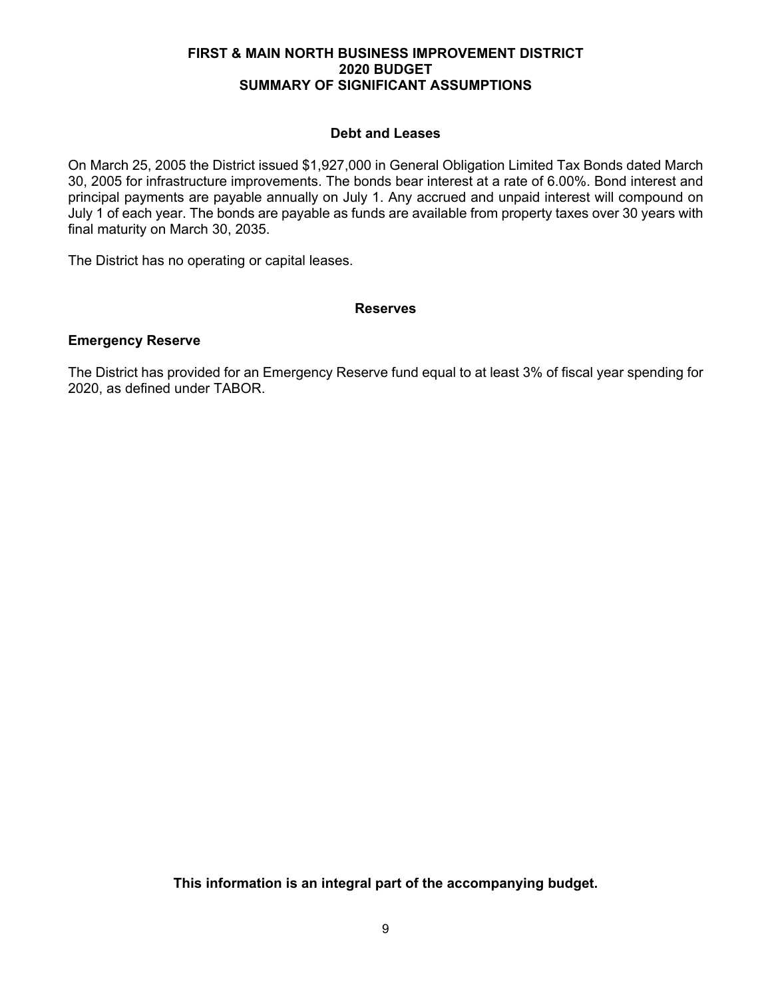## **FIRST & MAIN NORTH BUSINESS IMPROVEMENT DISTRICT 2020 BUDGET SUMMARY OF SIGNIFICANT ASSUMPTIONS**

## **Debt and Leases**

On March 25, 2005 the District issued \$1,927,000 in General Obligation Limited Tax Bonds dated March 30, 2005 for infrastructure improvements. The bonds bear interest at a rate of 6.00%. Bond interest and principal payments are payable annually on July 1. Any accrued and unpaid interest will compound on July 1 of each year. The bonds are payable as funds are available from property taxes over 30 years with final maturity on March 30, 2035.

The District has no operating or capital leases.

## **Reserves**

## **Emergency Reserve**

The District has provided for an Emergency Reserve fund equal to at least 3% of fiscal year spending for 2020, as defined under TABOR.

**This information is an integral part of the accompanying budget.**